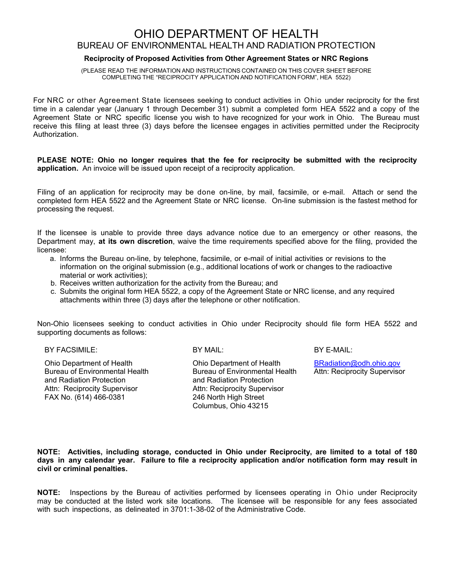## OHIO DEPARTMENT OF HEALTH BUREAU OF ENVIRONMENTAL HEALTH AND RADIATION PROTECTION

### **Reciprocity of Proposed Activities from Other Agreement States or NRC Regions**

(PLEASE READ THE INFORMATION AND INSTRUCTIONS CONTAINED ON THIS COVER SHEET BEFORE COMPLETING THE "RECIPROCITY APPLICATION AND NOTIFICATION FORM", HEA 5522)

For NRC or other Agreement State licensees seeking to conduct activities in Ohio under reciprocity for the first time in a calendar year (January 1 through December 31) submit a completed form HEA 5522 and a copy of the Agreement State or NRC specific license you wish to have recognized for your work in Ohio. The Bureau must receive this filing at least three (3) days before the licensee engages in activities permitted under the Reciprocity Authorization.

**PLEASE NOTE: Ohio no longer requires that the fee for reciprocity be submitted with the reciprocity application.** An invoice will be issued upon receipt of a reciprocity application.

Filing of an application for reciprocity may be done on-line, by mail, facsimile, or e-mail. Attach or send the completed form HEA 5522 and the Agreement State or NRC license. On-line submission is the fastest method for processing the request.

If the licensee is unable to provide three days advance notice due to an emergency or other reasons, the Department may, **at its own discretion**, waive the time requirements specified above for the filing, provided the licensee:

- a. Informs the Bureau on-line, by telephone, facsimile, or e-mail of initial activities or revisions to the information on the original submission (e.g., additional locations of work or changes to the radioactive material or work activities);
- b. Receives written authorization for the activity from the Bureau; and
- c. Submits the original form HEA 5522, a copy of the Agreement State or NRC license, and any required attachments within three (3) days after the telephone or other notification.

Non-Ohio licensees seeking to conduct activities in Ohio under Reciprocity should file form HEA 5522 and supporting documents as follows:

BY FACSIMILE: BY MAIL: BY MAIL: BY E-MAIL:

Ohio Department of Health Bureau of Environmental Health and Radiation Protection Attn: Reciprocity Supervisor FAX No. (614) 466-0381

Ohio Department of Health Bureau of Environmental Health and Radiation Protection Attn: Reciprocity Supervisor 246 North High Street Columbus, Ohio 43215

BRadiation@odh.ohio.gov Attn: Reciprocity Supervisor

**NOTE: Activities, including storage, conducted in Ohio under Reciprocity, are limited to a total of 180 days in any calendar year. Failure to file a reciprocity application and/or notification form may result in civil or criminal penalties.**

**NOTE:** Inspections by the Bureau of activities performed by licensees operating in Ohio under Reciprocity may be conducted at the listed work site locations. The licensee will be responsible for any fees associated with such inspections, as delineated in 3701:1-38-02 of the Administrative Code.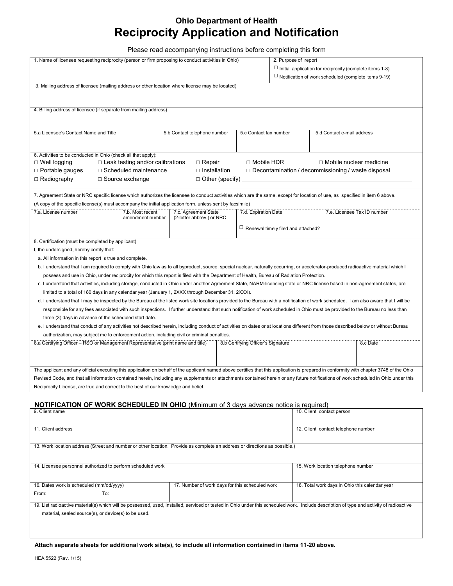# **Ohio Department of Health Reciprocity Application and Notification**

Please read accompanying instructions before completing this form

| 1. Name of licensee requesting reciprocity (person or firm proposing to conduct activities in Ohio)                                                                                      |                                                 |                        |                                           | 2. Purpose of report                                            |          |  |
|------------------------------------------------------------------------------------------------------------------------------------------------------------------------------------------|-------------------------------------------------|------------------------|-------------------------------------------|-----------------------------------------------------------------|----------|--|
|                                                                                                                                                                                          |                                                 |                        |                                           | $\Box$ Initial application for reciprocity (complete items 1-8) |          |  |
|                                                                                                                                                                                          |                                                 |                        |                                           | $\Box$ Notification of work scheduled (complete items 9-19)     |          |  |
| 3. Mailing address of licensee (mailing address or other location where license may be located)                                                                                          |                                                 |                        |                                           |                                                                 |          |  |
|                                                                                                                                                                                          |                                                 |                        |                                           |                                                                 |          |  |
|                                                                                                                                                                                          |                                                 |                        |                                           |                                                                 |          |  |
| 4. Billing address of licensee (if separate from mailing address)                                                                                                                        |                                                 |                        |                                           |                                                                 |          |  |
|                                                                                                                                                                                          |                                                 |                        |                                           |                                                                 |          |  |
|                                                                                                                                                                                          |                                                 |                        |                                           | 5.d Contact e-mail address                                      |          |  |
| 5.a Licensee's Contact Name and Title                                                                                                                                                    | 5.b Contact telephone number                    | 5.c Contact fax number |                                           |                                                                 |          |  |
|                                                                                                                                                                                          |                                                 |                        |                                           |                                                                 |          |  |
| 6. Activities to be conducted in Ohio (check all that apply):                                                                                                                            |                                                 |                        |                                           |                                                                 |          |  |
| $\Box$ Leak testing and/or calibrations<br>□ Mobile HDR<br>$\Box$ Mobile nuclear medicine<br>$\Box$ Well logging<br>$\Box$ Repair                                                        |                                                 |                        |                                           |                                                                 |          |  |
| $\Box$ Portable gauges<br>$\Box$ Scheduled maintenance<br>$\Box$ Installation<br>$\Box$ Decontamination / decommissioning / waste disposal                                               |                                                 |                        |                                           |                                                                 |          |  |
| $\Box$ Radiography<br>$\Box$ Source exchange<br>$\Box$ Other (specify) $\Box$                                                                                                            |                                                 |                        |                                           |                                                                 |          |  |
|                                                                                                                                                                                          |                                                 |                        |                                           |                                                                 |          |  |
| 7. Agreement State or NRC specific license which authorizes the licensee to conduct activities which are the same, except for location of use, as specified in item 6 above.             |                                                 |                        |                                           |                                                                 |          |  |
| (A copy of the specific license(s) must accompany the initial application form, unless sent by facsimile)                                                                                |                                                 |                        |                                           |                                                                 |          |  |
| 7.a. License number<br>7.b. Most recent<br>7.c. Agreement State<br>7.d. Expiration Date<br>7.e. Licensee Tax ID number                                                                   |                                                 |                        |                                           |                                                                 |          |  |
| amendment number                                                                                                                                                                         | (2-letter abbrev.) or NRC                       |                        |                                           |                                                                 |          |  |
|                                                                                                                                                                                          |                                                 |                        | $\Box$ Renewal timely filed and attached? |                                                                 |          |  |
| 8. Certification (must be completed by applicant)                                                                                                                                        |                                                 |                        |                                           |                                                                 |          |  |
|                                                                                                                                                                                          |                                                 |                        |                                           |                                                                 |          |  |
| I, the undersigned, hereby certify that:                                                                                                                                                 |                                                 |                        |                                           |                                                                 |          |  |
| a. All information in this report is true and complete.                                                                                                                                  |                                                 |                        |                                           |                                                                 |          |  |
| b. I understand that I am required to comply with Ohio law as to all byproduct, source, special nuclear, naturally occurring, or accelerator-produced radioactive material which I       |                                                 |                        |                                           |                                                                 |          |  |
| possess and use in Ohio, under reciprocity for which this report is filed with the Department of Health, Bureau of Radiation Protection.                                                 |                                                 |                        |                                           |                                                                 |          |  |
| c. I understand that activities, including storage, conducted in Ohio under another Agreement State, NARM-licensing state or NRC license based in non-agreement states, are              |                                                 |                        |                                           |                                                                 |          |  |
| limited to a total of 180 days in any calendar year (January 1, 2XXX through December 31, 2XXX).                                                                                         |                                                 |                        |                                           |                                                                 |          |  |
| d. I understand that I may be inspected by the Bureau at the listed work site locations provided to the Bureau with a notification of work scheduled. I am also aware that I will be     |                                                 |                        |                                           |                                                                 |          |  |
| responsible for any fees associated with such inspections. I further understand that such notification of work scheduled in Ohio must be provided to the Bureau no less than             |                                                 |                        |                                           |                                                                 |          |  |
| three (3) days in advance of the scheduled start date.                                                                                                                                   |                                                 |                        |                                           |                                                                 |          |  |
| e. I understand that conduct of any activities not described herein, including conduct of activities on dates or at locations different from those described below or without Bureau     |                                                 |                        |                                           |                                                                 |          |  |
| authorization, may subject me to enforcement action, including civil or criminal penalties.                                                                                              |                                                 |                        |                                           |                                                                 |          |  |
| 8.a Certifying Officer - RSO or Management Representative (print name and title)<br>8.b Certifying Officer's Signature                                                                   |                                                 |                        |                                           |                                                                 | 8.c Date |  |
|                                                                                                                                                                                          |                                                 |                        |                                           |                                                                 |          |  |
|                                                                                                                                                                                          |                                                 |                        |                                           |                                                                 |          |  |
| The applicant and any official executing this application on behalf of the applicant named above certifies that this application is prepared in conformity with chapter 3748 of the Ohio |                                                 |                        |                                           |                                                                 |          |  |
| Revised Code, and that all information contained herein, including any supplements or attachments contained herein or any future notifications of work scheduled in Ohio under this      |                                                 |                        |                                           |                                                                 |          |  |
| Reciprocity License, are true and correct to the best of our knowledge and belief.                                                                                                       |                                                 |                        |                                           |                                                                 |          |  |
|                                                                                                                                                                                          |                                                 |                        |                                           |                                                                 |          |  |
| <b>NOTIFICATION OF WORK SCHEDULED IN OHIO</b> (Minimum of 3 days advance notice is required)                                                                                             |                                                 |                        |                                           |                                                                 |          |  |
| 9. Client name                                                                                                                                                                           |                                                 |                        |                                           | 10. Client contact person                                       |          |  |
|                                                                                                                                                                                          |                                                 |                        |                                           |                                                                 |          |  |
| 11. Client address                                                                                                                                                                       |                                                 |                        |                                           | 12. Client contact telephone number                             |          |  |
|                                                                                                                                                                                          |                                                 |                        |                                           |                                                                 |          |  |
| 13. Work location address (Street and number or other location. Provide as complete an address or directions as possible.)                                                               |                                                 |                        |                                           |                                                                 |          |  |
|                                                                                                                                                                                          |                                                 |                        |                                           |                                                                 |          |  |
| 14. Licensee personnel authorized to perform scheduled work                                                                                                                              |                                                 |                        |                                           | 15. Work location telephone number                              |          |  |
|                                                                                                                                                                                          |                                                 |                        |                                           |                                                                 |          |  |
|                                                                                                                                                                                          |                                                 |                        |                                           |                                                                 |          |  |
| 16. Dates work is scheduled (mm/dd/yyyy)                                                                                                                                                 | 17. Number of work days for this scheduled work |                        |                                           | 18. Total work days in Ohio this calendar year                  |          |  |
| To:<br>From:                                                                                                                                                                             |                                                 |                        |                                           |                                                                 |          |  |
| 19. List radioactive material(s) which will be possessed, used, installed, serviced or tested in Ohio under this scheduled work. Include description of type and activity of radioactive |                                                 |                        |                                           |                                                                 |          |  |
| material, sealed source(s), or device(s) to be used.                                                                                                                                     |                                                 |                        |                                           |                                                                 |          |  |
|                                                                                                                                                                                          |                                                 |                        |                                           |                                                                 |          |  |
|                                                                                                                                                                                          |                                                 |                        |                                           |                                                                 |          |  |

**Attach separate sheets for additional work site(s), to include all information contained in items 11-20 above.**